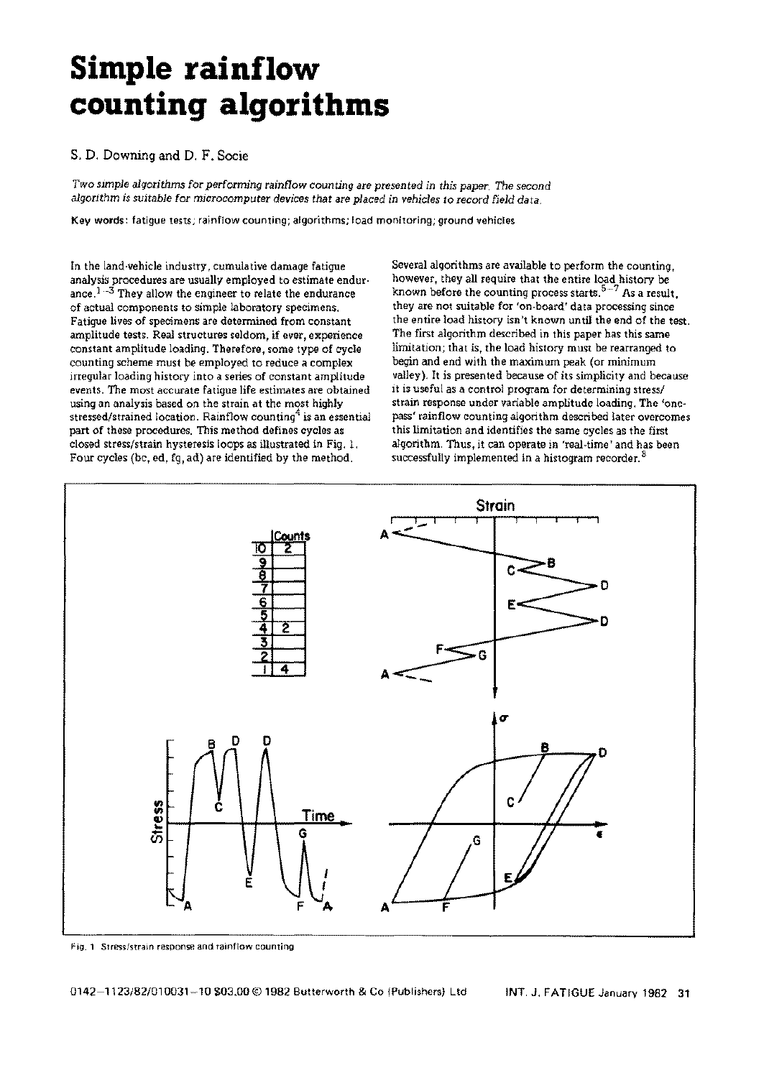# **Simple rainflow counting algorithms**

# **S. D.** Downing and **D. F.** Socie

*Two simple algorithms* for *performing rainflow counting are presented in this paper. The second algorithm is suitable* for *microcomputer devices that are placed in vehicles to record field data.* 

**Key words:** fatigue tests; rainflow counting; algorithms; load monitoring; ground vehicles

In the land-vehicle industry, cumulative damage fatigue analysis procedures are usually employed to estimate endurance. $1-3$  They allow the engineer to relate the endurance of actual components to simple laboratory specimens. Fatigue lives of specimens are determined from constant amplitude tests. Real structures seldom, if ever, experience constant amplitude loading. Therefore, some type of cycle counting scheme must be employed to reduce a complex irregular loading history into a series of constant amplitude events. The most accurate fatigue life estimates are obtained using an analysis based on the strain at the most highly stressed/strained location. Rainflow counting<sup>4</sup> is an essential part of these procedures. This method defines cycles as closed stress/strain hysteresis loops as illustrated in Fig. 1. Four cycles (bc, ed, fg, ad) are identified by the method.

Several algorithms are available to perform the counting, however, they all require that the entire load history be known before the counting process starts. $5-7$  As a result, they are not suitable for 'on-board' data processing since the entire load history isn't known until the end of the test. The first algorithm described in this paper has this same limitation; that is, the load history must be rearranged to begin and end with the maximum peak (or minimum valley). It is presented because of its simplicity and because it is useful as a control program for determining stress/ strain response under variable amplitude loading. The 'onepass' rainflow counting algorithm described later overcomes this limitation and identifies the same cycles as the first algorithm. Thus, it can operate in 'real-time' and has been successfully implemented in a histogram recorder. <sup>8</sup>



Fig. 1 Stress/strain response and rainflow counting

0142-1123/82/010031-10 \$03.00 © 1982 Butterworth & Co (Publishers) Ltd INT. J. FATIGUE January 1982 31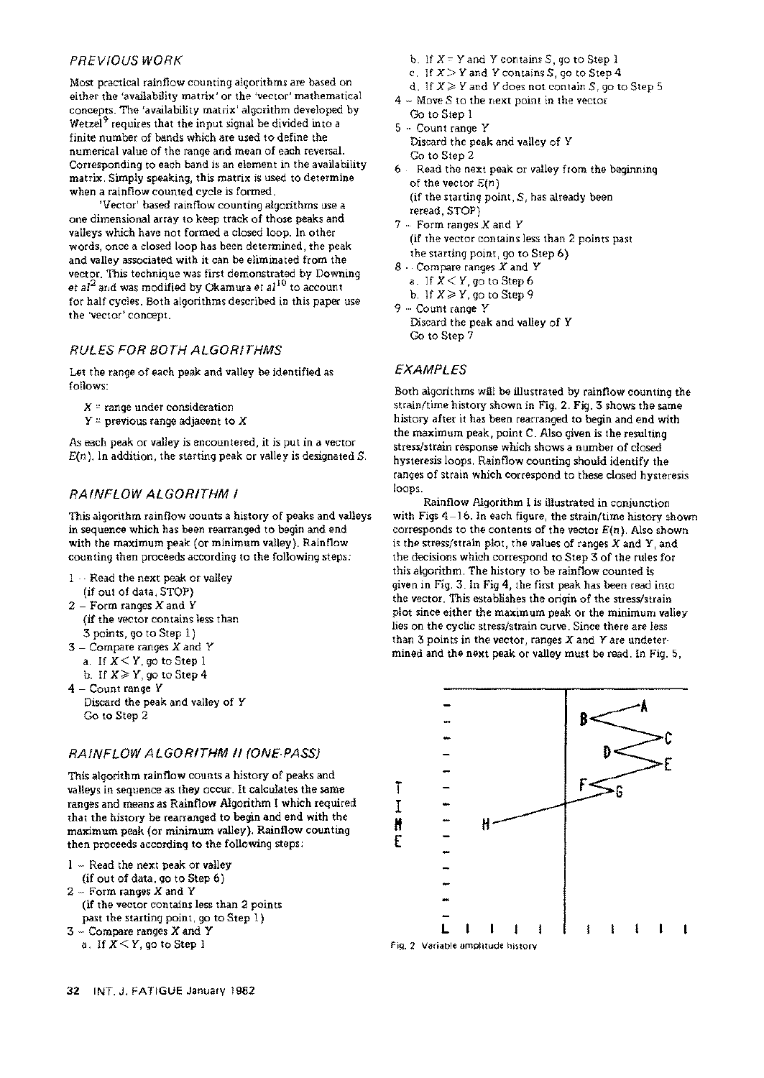## PREVIOUS WORK

Most practical rainflow counting algorithms are based on either the 'availability matrix' or the 'vector' mathematical concepts. The 'availability matrix' algorithm developed by Wetzel<sup>9</sup> requires that the input signal be divided into a finite number of bands which are used to define the numerical value of the range and mean of each reversal. Corresponding to each band is an element in the availability matrix. Simply speaking, this matrix is used to determine when a rainflow counted cycle is formed.

'Vector' based rainflow counting algorithms use a one dimensional array to keep track of those peaks and valleys which have not formed a closed loop. In other words, once a closed loop has been determined, the peak and valley associated with it can be eliminated from the vector. This technique was first demonstrated by Downing *et al 2* and was modified by Okamura *et al IO* to account for half cycles. Both algorithms described in this paper use the 'vector' *concept.* 

# RULES FOR BOTH ALGORITHMS

Let the range of each peak and valley be identified as follows:

- $X$  = range under consideration
- $Y =$  previous range adjacent to X

As each peak or valley is encountered, it is put in a vector  $E(n)$ . In addition, the starting peak or valley is designated S.

# RAINFLOW ALGORITHM I

This algorithm rainflow counts a history of peaks and valleys in sequence which has been rearranged to begin and end with the maximum peak (or minimum valley). Rainflow counting then proceeds according to the following steps:

- I -- Read the next peak or valley
- (if out of data, STOP)
- 2 Form ranges X and Y (if the vector contains less than S points, go to Step i)
- $3$  Compare ranges  $X$  and  $Y$
- a. If  $X \leq Y$ , go to Step 1
- b. If  $X \geq Y$ , go to Step 4

 $4 -$  Count range Y Discard the peak and valley of Y Go to Step 2

# RAINFLOW ALGORITHM II (ONE-PASS)

This algorithm rainflow counts a history of peaks and valleys in sequence as they occur. It calculates the same ranges and means as Rainflow Algorithm I which required that the history be rearranged to begin and end with the maximum peak (or minimum valley). Rainflow counting then proceeds according to the following steps:

- 1 Read the next peak or valley
- (if out of data, go to Step 6)
- 2 Form ranges X and Y (if the vector contains less than 2 points past the starting point, go to Step I)
- S Compare ranges X and Y
	- a. If  $X \leq Y$ , go to Step 1
- b. If  $X = Y$  and Y contains S, go to Step 1
- c. If  $X > Y$  and Y contains S, go to Step 4
- d. If  $X \geq Y$  and Y does not contain S, go to Step 5
- $4 -$  Move S to the next point in the vector Go to Step 1
- 5 Count range Y Discard the peak and valley of Y Go to Step 2
- 6 Read the next peak or valley from the beginning of the vector *E(n)*  (if the starting point, S, has already been
	- reread, STOP)
- $7 -$  Form ranges X and Y (if the vector contains less than 2 points past the starting point, go to Step 6)
- 8 Compare ranges X and Y a. If  $X < Y$ , go to Step 6
- b. If  $X \geqslant Y$ , go to Step 9

```
9 - Count range Y
Discard the peak and valley of Y 
Go to Step 7
```
EXAMPLES

Both algorithms will be illustrated by rainflow counting the strain/time history shown in Fig. 2. Fig. S shows the same history after it has been rearranged to begin and end with the maximum peak, point C. Also given is the resulting stress/strain response which shows a number of closed hysteresis loops. Rainflow counting should identify the ranges of strain which correspond to these closed hysteresis loops.

Rainflow Algorithm I is illustrated in conjunction with Figs 4-16. In each figure, the strain/time history shown corresponds to the contents of the vector *E(n).* Also shown is the stress/strain plot, the values of ranges  $X$  and  $Y$ , and the decisions which correspond to Step 3 of the rules for this algorithm. The history to be rainflow counted is given in Fig. S. In Fig 4, the first peak has been read into the vector. This establishes the origin of the stress/strain plot since either the maximum peak or the minimum valley lies on the cyclic stress/strain curve. Since there are less than  $3$  points in the vector, ranges  $X$  and  $Y$  are undetermined and the next peak or valley must be read. In Fig. 5,

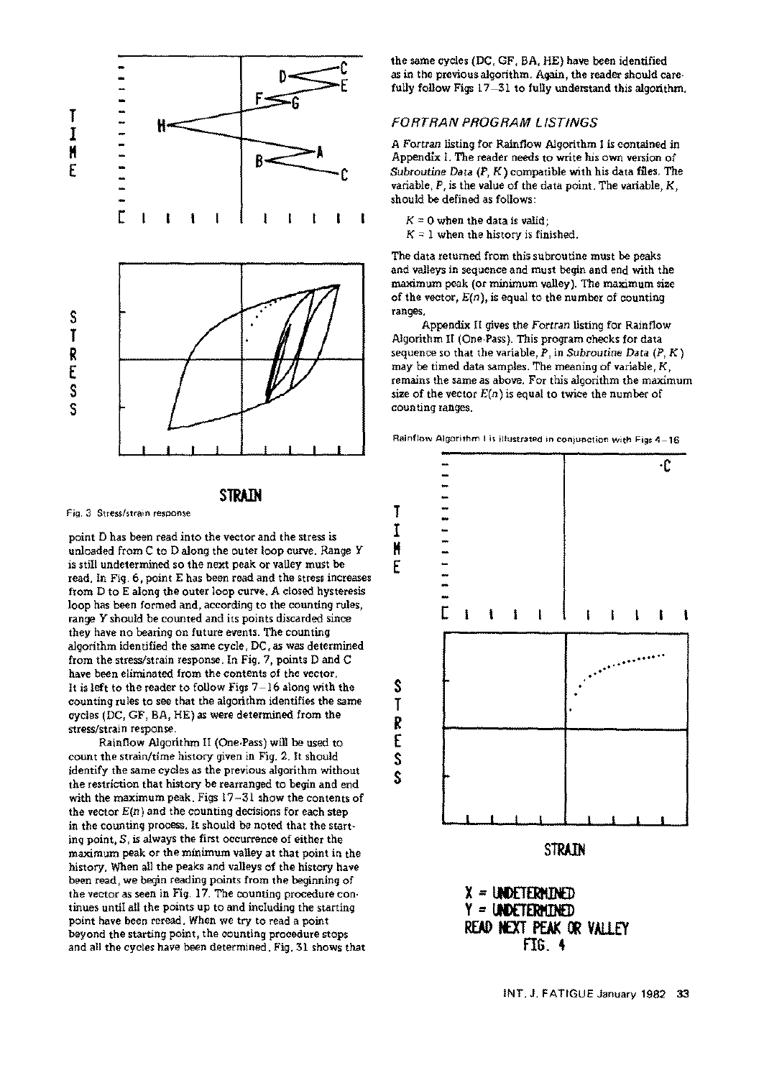

# **STRAIN**

Fig. 3 Stress/strain response

point D has been read into the vector and the stress is unloaded from C to D along the outer loop curve. Range Y is still undetermined so the next peak or valley must be read. In Fig. 6, point E has been read and the stress increases from D to E along the outer loop curve. A closed hysteresis loop has been formed and, according to the counting rules, range Y should be counted and its points discarded since they have no bearing on future events. The counting algorithm identified the same cycle, DC, as was determined from the stress/strain response. In Fig. 7, points D and C have been eliminated from the contents of the vector. It is left to the reader to follow Figs  $7-16$  along with the counting rules to see that the algorithm identifies the same cycles (DC, GF, BA, HE) as were determined from the stress/strain response.

Rainflow Algorithm II (One-Pass) will be used to count the strain/time history given in Fig. 2. It should identify the same cycles as the previous algorithm without the restriction that history be rearranged to begin and end with the maximum peak. Figs 17-31 show the contents of the vector  $E(n)$  and the counting decisions for each step in the counting process. It should be noted that the starting point, S, is always the first occurrence of either the maximum peak or the minimum valley at that point in the history. When all the peaks and valleys of the history have been read, we begin reading points from the beginning of the vector as seen in Fig. 17. The counting procedure continues until all the points up to and including the starting point have been reread. When we try to read a point beyond the starting point, the counting procedure stops and **all** the cycles have been determined. Fig. 31 shows that the same cycles (DC, GF, BA, HE) have been identified as in the previous algorithm. Again, the reader should carefully follow Figs 17-31 to fully understand this algorithm.

#### FORTRAN PROGRAM LISTINGS

A Fortran listing for Rainflow Algorithm I is contained in Appendix I. The reader needs to write his own version of *Subroutine Data (P, K)* compatible with his data files. The variable,  $P$ , is the value of the data point. The variable,  $K$ , should be defined as follows:

- $K = 0$  when the data is valid;
- $K = 1$  when the history is finished.

The data returned from this subroutine must be peaks and valleys in sequence and must begin and end with the maximum peak (or minimum valley). The maximum size of the vector,  $E(n)$ , is equal to the number of counting ranges.

Appendix II gives the *Fortran* listing for Rainflow Algorithm II (One-Pass). This program checks for data sequence so that the variable, P, in *Subroutine Data (P, K )*  may be timed data samples. The meaning of variable, K, remains the same as above. For this algorithm the maximum size of the vector  $E(n)$  is equal to twice the number of counting ranges.





**S** 

Ţ I H E

**E**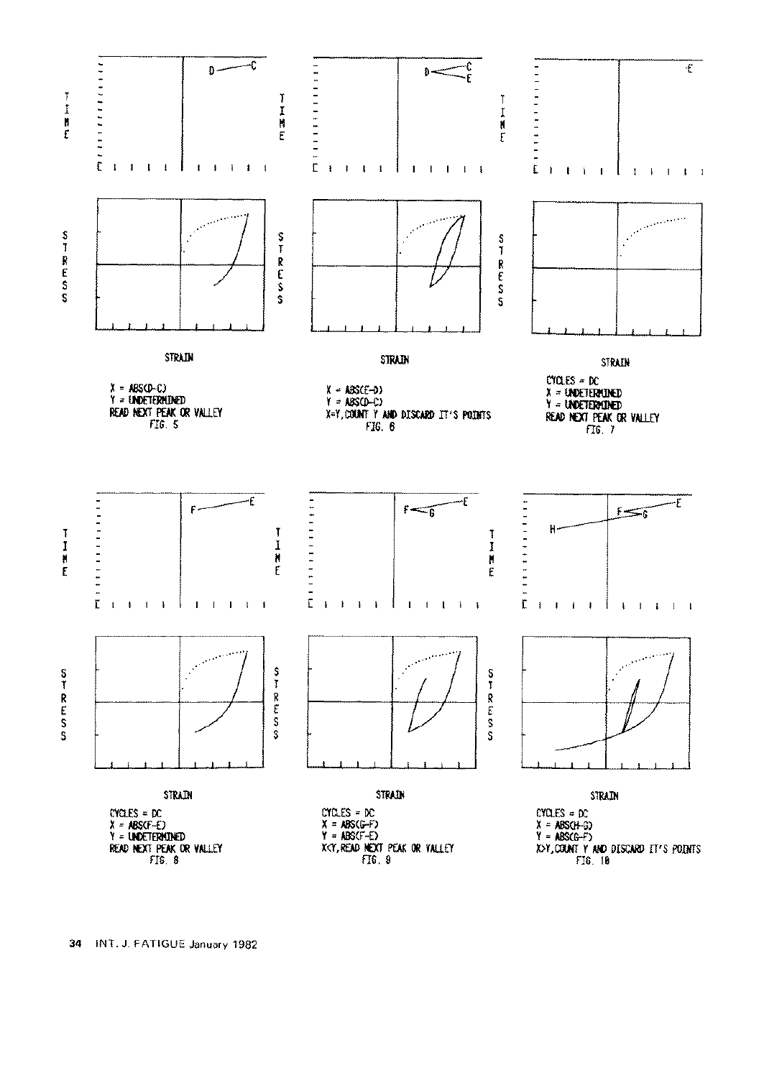

34 INT. J. FATIGUE January 1982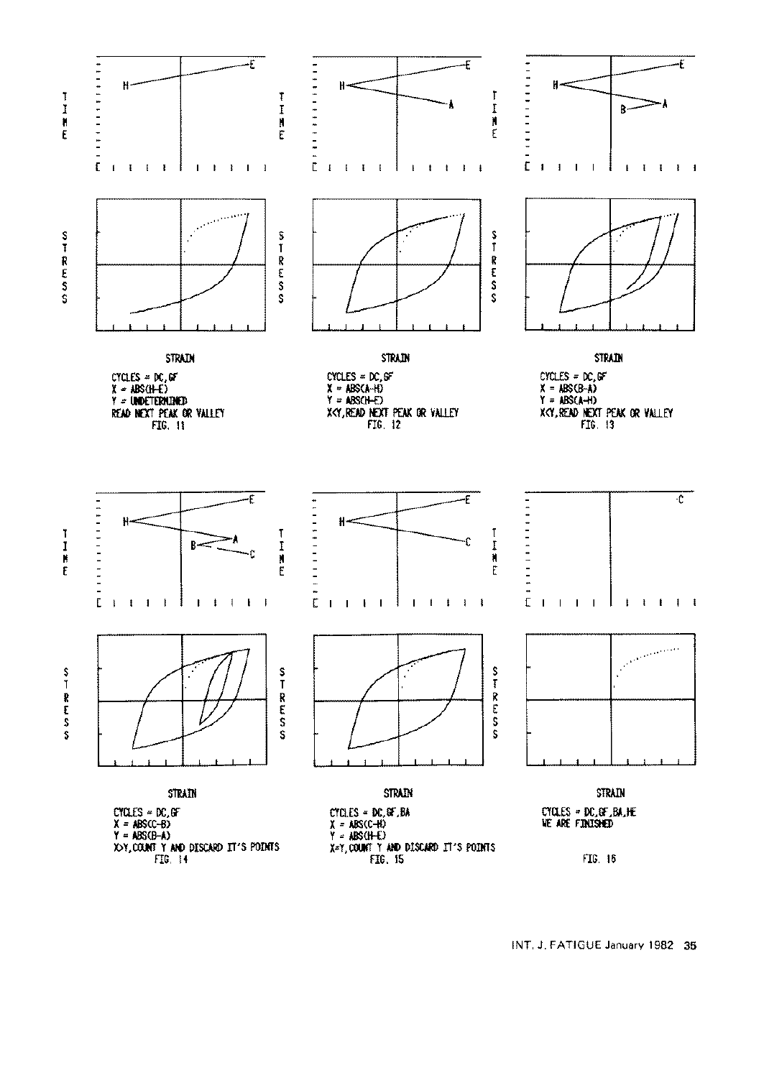

INT. J. FATIGUE January 1982 35

TIME

 $\frac{S}{I}$ 55 Km 25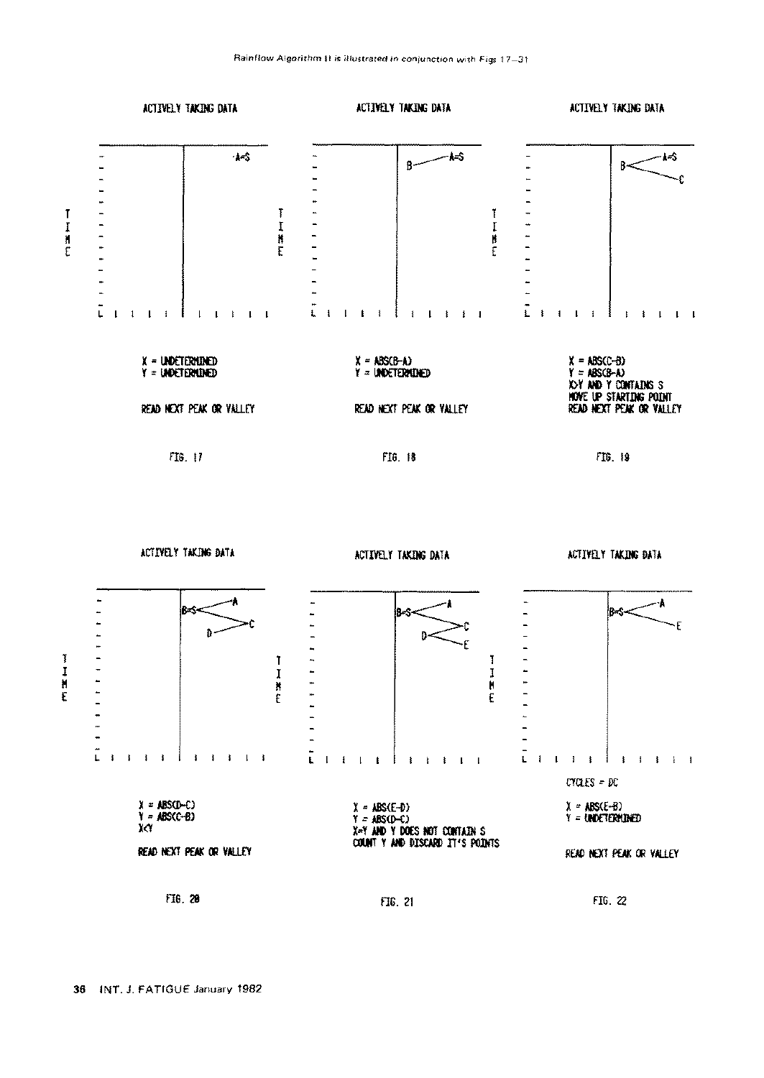

**FIG. 29 ~6. 21** FIG. 22

打開工具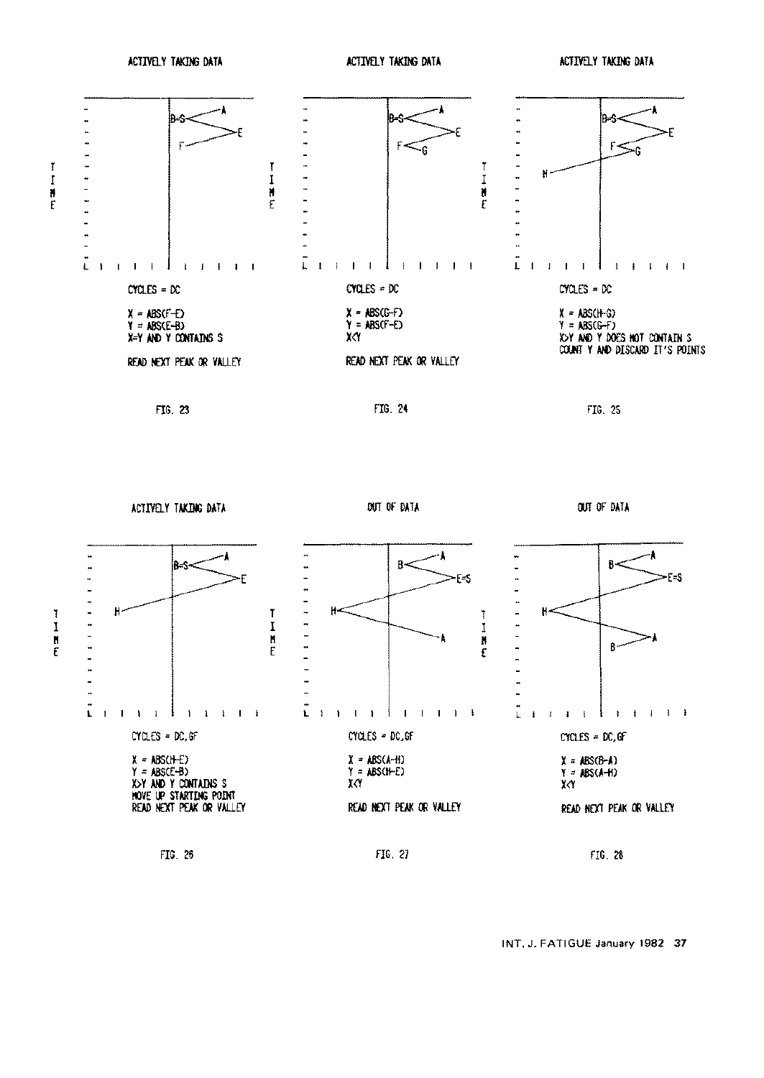ACTIVELY TAKING DATA ACTIVELY TAKING DATA ACTIVELY TAKING DATA ACTIVELY TAKING DATA



ACTr/E].Y TAI(])CGDATA **OUl" OF DATA** OUI'OF DATA

Ĭ



FIG. 26 FIG. 21 FIG. 21 FIG. 21 FIG. 28 FIG. 28

INT. J. FATIGUE January 1982 37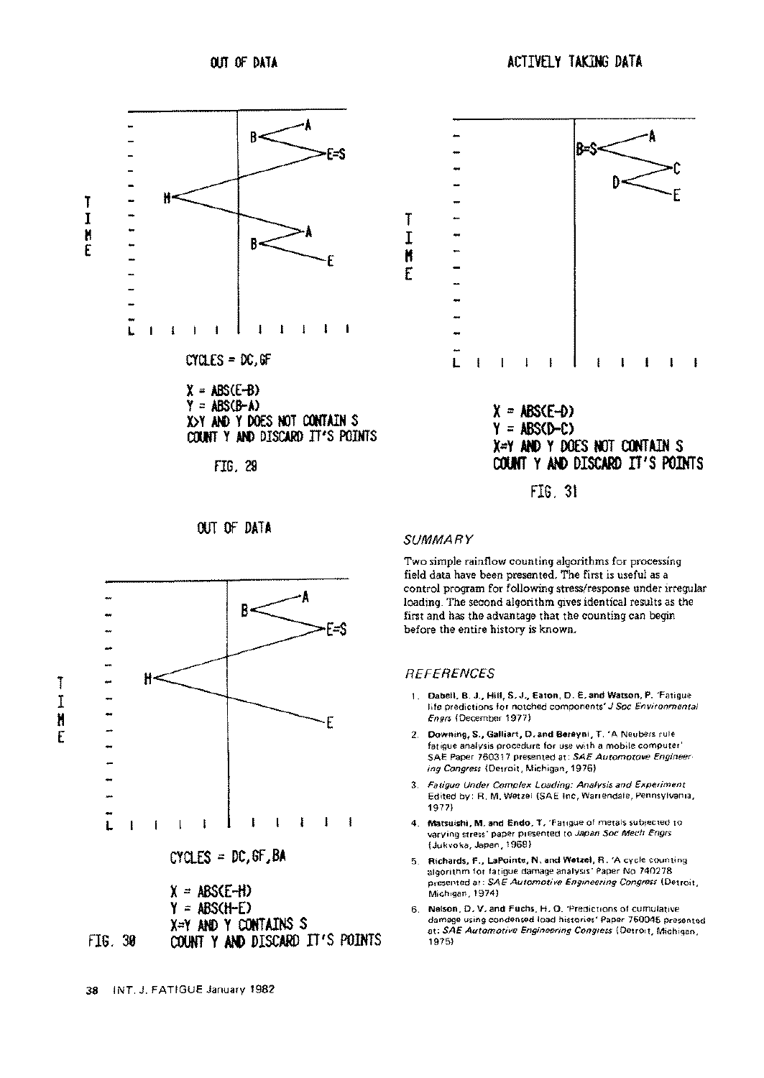

#### **SUMMA R Y**

Two simple rainflow counting algorithms for processing field data have been presented. The first is useful as a control program for following stress/response under irregular loading. The second algorithm gives identical results as the first and has the advantage that the counting can begin before the entire history is known.

### **REFERENCES**

- **1. Dabell, B. J., Hill, S. J., Eaton, D. E. and Watson, P.** 'Fatigue life predictions for notched components' J Soc Environmental Engrs (December 1977)
- 2. Downing, S., Galliart, D. **and Bereyni,** T. 'A Neubers rule fatigue analysis procedure for use with a mobile computer' SAE Paper 760317 presented at: SAE Automotove Engineering Congress (Detroit, Michigan, 1976)
- 3. Fatigue Under Complex Loading: Analysis and Experiment Edited by: R. M. Wetzel (SAE Inc, Warrendale, Pennsylvania, 1977)
- 4. Matsuishi, M. and Endo, T. 'Fatigue of metals subjected to varying stress' paper presented to Japan Soc Mech Engrs (Jukvoka, Japan, 1968)
- 5. Richards, F., LaPointe, N. and Wetzel, R. 'A cycle counting algorithm for fatigue damage analysis' Paper No 740278 presented at: SAE Automotive Engineering Congress (Detroit, Michigan, 1974)
- 6. Nelson, D. V. **and Fuchs,** H. O. 'Predictions of cumulative damage using condensed load histories' Paper 750045 presented at: SAE Automotive Engineering Congress (Detroit, Michigan, 1975)



**T I M E**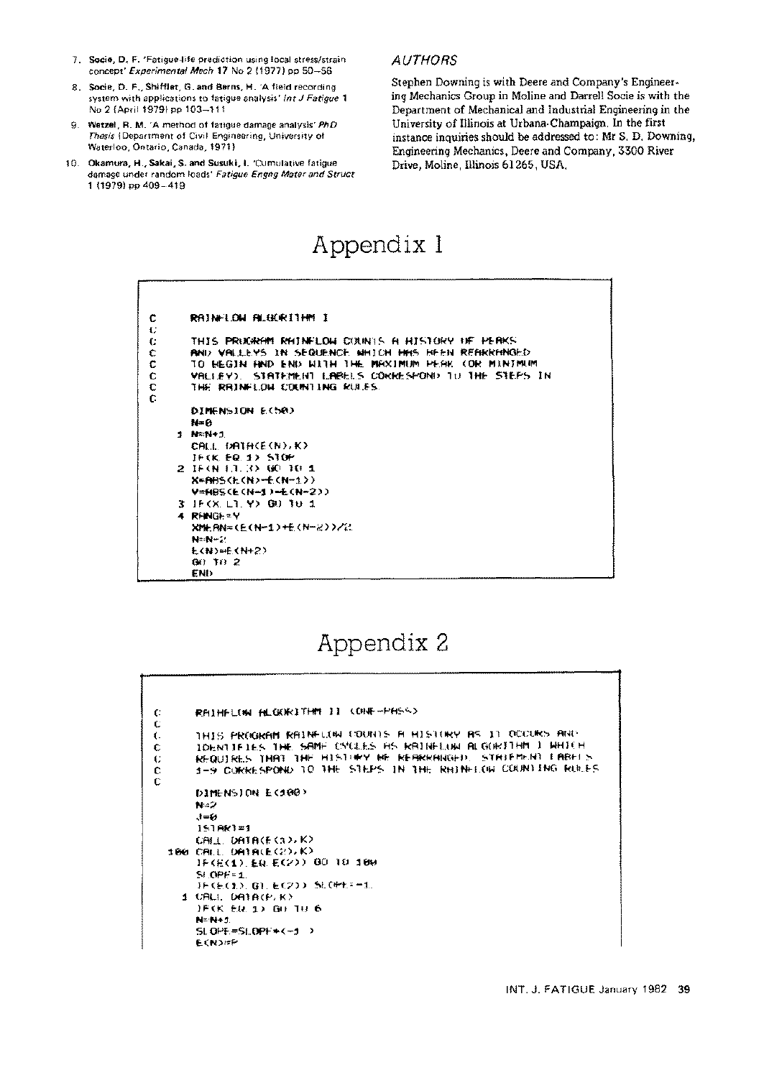- 7. Socie, D. F. 'Fatigue-life prediction using local stress/strain concept' Experimental Mech 17 No 2 (1977) pp 50-56
- 6. Socie, D. F., Shifflet, G. **and Berns,** H. 'A field recording system with applications to fatigue analysis' Int J Fatigue 1 No 2 (April 1979) pp 103-111
- 9. Wetzel, R. M. 'A method of fatigue damage analysis' PhD Thesis (Department of Civil Engineering, University of Waterloo, Ontario, Canada, 1971 )
- 10. Okamura, H., Sakai, S. and Susuki, I. 'Cumulative fatigue damage under random loads' Fatigue Engng Mater and Struct 1 (1979) pp 409-419

### **AUTHORS**

Stephen Downing is with Deere and Company's Engineering Mechanics Group in Moline and Darrell Socie is with the Department of Mechanical and Industrial Engineering in the University of Illinois at Urbana-Champaign. In the first instance inquiries should be addressed to: Mr S. D. Downing, Engineering Mechanics, Deere and Company, 3300 River Drive, Moline, Illinois 61265, USA.

# **Appendix 1**

| с  | RAINFLOW ALGORITHM I                                 |
|----|------------------------------------------------------|
| €  |                                                      |
| t. | THIS PROGRAM RAINFLOW COUNTS A HISTORY OF PERKS      |
| с  | AND VALLEYS IN SEQUENCE WHICH HES REEN REARRENGED.   |
| с  | TO BEGIN AND END WITH THE MAXIMUM PEAK (OR MINIMUM   |
| c  | VALLEY). STATEMENT LARGES COKKESPOND TO THE STEPS IN |
| с  | THE RRINFLOW COUNTING RULES.                         |
| c  |                                                      |
|    | DIMENSION E(50)                                      |
|    | N=0                                                  |
|    | 1 N=N+1                                              |
|    | CALL DATH(E(N),K)                                    |
|    | IF CK. EQ. 1> STOP                                   |
|    | 2 IF(N 1.1.3) GO 10 1                                |
|    | X*ABS(k(N)=6(N=1))                                   |
|    | V=HBS(E(N-1)-E(N-2))                                 |
|    | 3 JF(X L1 Y) GO TO 1                                 |
|    | 4 RENGE=Y                                            |
|    | XMEAN=(E(N=1)+E(N=2))/2                              |
|    | N=N-2                                                |
|    | <b>E(N)=E(N+2)</b>                                   |
|    | $(30)$ T <sub>i</sub> $)$ 2                          |
|    | END.                                                 |

# **Appendix 2**

| C. | RAINFLOW ALGORITHM II (ONE-PASS)                           |
|----|------------------------------------------------------------|
| C  |                                                            |
| ť. | THIS PROGRAM RAINFLOW COUNTS A HISTORY AS IT OCCURS AND    |
| €  | TOHNTTETES THE SAME CYCLES AS RAINELUM ALGORITHM I HHILM   |
| €  | REQUIRES THAT THE HISTORY ME REARRANGED. STATEMENT LABELS  |
| c  | 1-9 CUKRESPOND TO THE STEPS TN THE RHINHION COUNTING RULES |
| C  |                                                            |
|    | DIMENSION EC100)                                           |
|    | N=2                                                        |
|    | 大三分                                                        |
|    | $1510x1 = 1$                                               |
|    | CALL DATACE(3)JK)                                          |
|    | 180 CALL DATA(E(2),K)                                      |
|    | JF(E(1), EQ. E(2)) 00 10 100                               |
|    | $S$ $OPE = 1$                                              |
|    | JFK&C1>, G1, &K2>>, SLK#H==1,                              |
|    | 1 URLE DATA(P) K)                                          |
|    | JFKK EU 1) GU TU 6                                         |
|    | N=444.1                                                    |
|    | $SL$ OPE=SLOPE*(-1)                                        |
|    | モくだつだい                                                     |